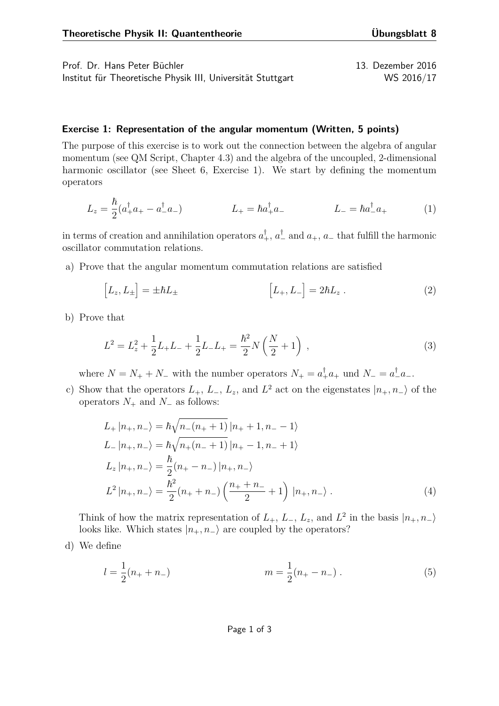Prof. Dr. Hans Peter Büchler 13. Dezember 2016 Institut für Theoretische Physik III, Universität Stuttgart WS 2016/17

## **Exercise 1: Representation of the angular momentum (Written, 5 points)**

The purpose of this exercise is to work out the connection between the algebra of angular momentum (see QM Script, Chapter 4.3) and the algebra of the uncoupled, 2-dimensional harmonic oscillator (see Sheet 6, Exercise 1). We start by defining the momentum operators

$$
L_z = \frac{\hbar}{2}(a_+^{\dagger}a_+ - a_-^{\dagger}a_-) \qquad L_+ = \hbar a_+^{\dagger}a_- \qquad L_- = \hbar a_-^{\dagger}a_+ \qquad (1)
$$

in terms of creation and annihilation operators  $a_+^{\dagger}$ ,  $a_-^{\dagger}$  and  $a_+$ ,  $a_-$  that fulfill the harmonic oscillator commutation relations.

a) Prove that the angular momentum commutation relations are satisfied

$$
\[L_z, L_{\pm}\] = \pm \hbar L_{\pm} \qquad \qquad [L_+, L_-] = 2\hbar L_z \,. \tag{2}
$$

b) Prove that

$$
L^{2} = L_{z}^{2} + \frac{1}{2}L_{+}L_{-} + \frac{1}{2}L_{-}L_{+} = \frac{\hbar^{2}}{2}N\left(\frac{N}{2} + 1\right) ,\qquad (3)
$$

where  $N = N_+ + N_-$  with the number operators  $N_+ = a_+^{\dagger} a_+$  und  $N_- = a_-^{\dagger} a_-$ .

c) Show that the operators  $L_+$ ,  $L_-$ ,  $L_z$ , and  $L^2$  act on the eigenstates  $|n_+, n_-\rangle$  of the operators *N*<sup>+</sup> and *N*<sup>−</sup> as follows:

<span id="page-0-0"></span>
$$
L_{+} |n_{+}, n_{-}\rangle = \hbar \sqrt{n_{-}(n_{+} + 1)} |n_{+} + 1, n_{-} - 1\rangle
$$
  
\n
$$
L_{-} |n_{+}, n_{-}\rangle = \hbar \sqrt{n_{+}(n_{-} + 1)} |n_{+} - 1, n_{-} + 1\rangle
$$
  
\n
$$
L_{z} |n_{+}, n_{-}\rangle = \frac{\hbar}{2} (n_{+} - n_{-}) |n_{+}, n_{-}\rangle
$$
  
\n
$$
L^{2} |n_{+}, n_{-}\rangle = \frac{\hbar^{2}}{2} (n_{+} + n_{-}) \left(\frac{n_{+} + n_{-}}{2} + 1\right) |n_{+}, n_{-}\rangle .
$$
 (4)

Think of how the matrix representation of  $L_+$ ,  $L_-$ ,  $L_z$ , and  $L^2$  in the basis  $|n_+, n_-\rangle$ looks like. Which states  $|n_+, n_-\rangle$  are coupled by the operators?

d) We define

$$
l = \frac{1}{2}(n_{+} + n_{-})
$$
  $m = \frac{1}{2}(n_{+} - n_{-})$ . (5)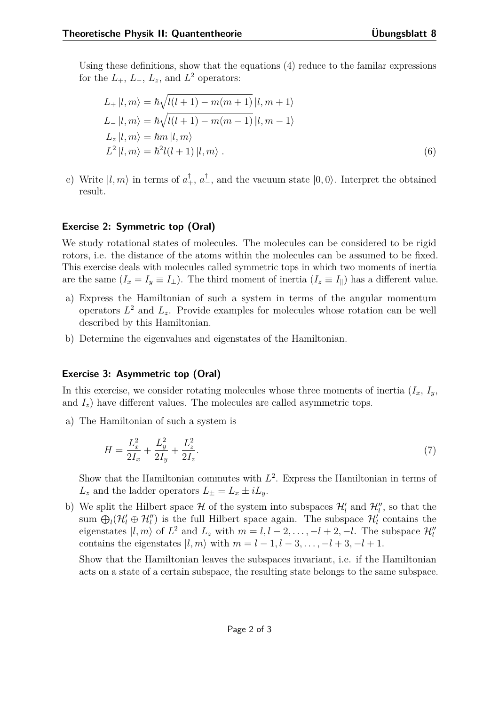Using these definitions, show that the equations [\(4\)](#page-0-0) reduce to the familar expressions for the  $L_+$ ,  $L_-$ ,  $L_z$ , and  $L^2$  operators:

$$
L_{+}|l,m\rangle = \hbar\sqrt{l(l+1) - m(m+1)}|l,m+1\rangle
$$
  
\n
$$
L_{-}|l,m\rangle = \hbar\sqrt{l(l+1) - m(m-1)}|l,m-1\rangle
$$
  
\n
$$
L_{z}|l,m\rangle = \hbar m|l,m\rangle
$$
  
\n
$$
L^{2}|l,m\rangle = \hbar^{2}l(l+1)|l,m\rangle.
$$
 (6)

e) Write  $|l, m\rangle$  in terms of  $a_+^{\dagger}$ ,  $a_-^{\dagger}$ , and the vacuum state  $|0, 0\rangle$ . Interpret the obtained result.

## **Exercise 2: Symmetric top (Oral)**

We study rotational states of molecules. The molecules can be considered to be rigid rotors, i.e. the distance of the atoms within the molecules can be assumed to be fixed. This exercise deals with molecules called symmetric tops in which two moments of inertia are the same  $(I_x = I_y \equiv I_\perp)$ . The third moment of inertia  $(I_z \equiv I_\parallel)$  has a different value.

- a) Express the Hamiltonian of such a system in terms of the angular momentum operators  $L^2$  and  $L_z$ . Provide examples for molecules whose rotation can be well described by this Hamiltonian.
- b) Determine the eigenvalues and eigenstates of the Hamiltonian.

## **Exercise 3: Asymmetric top (Oral)**

In this exercise, we consider rotating molecules whose three moments of inertia  $(I_x, I_y, I_z)$ and  $I_z$ ) have different values. The molecules are called asymmetric tops.

a) The Hamiltonian of such a system is

$$
H = \frac{L_x^2}{2I_x} + \frac{L_y^2}{2I_y} + \frac{L_z^2}{2I_z}.\tag{7}
$$

Show that the Hamiltonian commutes with  $L^2$ . Express the Hamiltonian in terms of  $L_z$  and the ladder operators  $L_{\pm} = L_x \pm iL_y$ .

b) We split the Hilbert space  $\mathcal{H}$  of the system into subspaces  $\mathcal{H}'_l$  and  $\mathcal{H}''_l$ , so that the sum  $\bigoplus_l (\mathcal{H}'_l \oplus \mathcal{H}''_l)$  is the full Hilbert space again. The subspace  $\mathcal{H}'_l$  contains the eigenstates  $|l, m\rangle$  of  $L^2$  and  $L_z$  with  $m = l, l - 2, \ldots, -l + 2, -l$ . The subspace  $\mathcal{H}_l^{\prime\prime}$ contains the eigenstates  $|l, m\rangle$  with  $m = l - 1, l - 3, \ldots, -l + 3, -l + 1$ .

Show that the Hamiltonian leaves the subspaces invariant, i.e. if the Hamiltonian acts on a state of a certain subspace, the resulting state belongs to the same subspace.